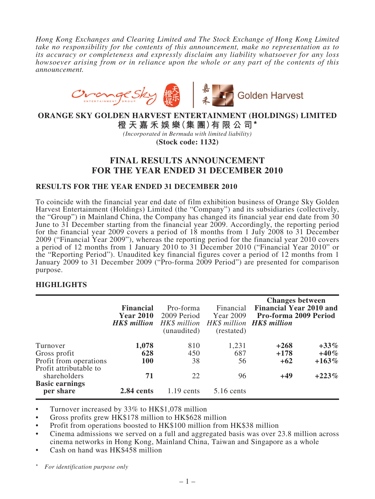*Hong Kong Exchanges and Clearing Limited and The Stock Exchange of Hong Kong Limited take no responsibility for the contents of this announcement, make no representation as to its accuracy or completeness and expressly disclaim any liability whatsoever for any loss howsoever arising from or in reliance upon the whole or any part of the contents of this announcement.*



**ORANGE SKY GOLDEN HARVEST ENTERTAINMENT (HOLDINGS) LIMITED**

**橙天嘉禾娛樂(集 團)有限公司\***

*(Incorporated in Bermuda with limited liability)*

**(Stock code: 1132)**

# **FINAL RESULTS ANNOUNCEMENT FOR THE YEAR ENDED 31 DECEMBER 2010**

### **RESULTS FOR THE YEAR ENDED 31 DECEMBER 2010**

To coincide with the financial year end date of film exhibition business of Orange Sky Golden Harvest Entertainment (Holdings) Limited (the "Company") and its subsidiaries (collectively, the "Group") in Mainland China, the Company has changed its financial year end date from 30 June to 31 December starting from the financial year 2009. Accordingly, the reporting period for the financial year 2009 covers a period of 18 months from 1 July 2008 to 31 December 2009 ("Financial Year 2009"), whereas the reporting period for the financial year 2010 covers a period of 12 months from 1 January 2010 to 31 December 2010 ("Financial Year 2010" or the "Reporting Period"). Unaudited key financial figures cover a period of 12 months from 1 January 2009 to 31 December 2009 ("Pro-forma 2009 Period") are presented for comparison purpose.

## **HIGHLIGHTS**

|                                        | <b>Financial</b><br><b>Year 2010</b> | Pro-forma<br>2009 Period<br><b>HK\$ million</b> HK\$ million HK\$ million HK\$ million<br>(unaudited) | Financial<br>Year 2009<br>(restated) | <b>Changes between</b><br>Financial Year 2010 and<br>Pro-forma 2009 Period |          |
|----------------------------------------|--------------------------------------|-------------------------------------------------------------------------------------------------------|--------------------------------------|----------------------------------------------------------------------------|----------|
| Turnover                               | 1,078                                | 810                                                                                                   | 1,231                                | $+268$                                                                     | $+33\%$  |
| Gross profit                           | 628                                  | 450                                                                                                   | 687                                  | $+178$                                                                     | $+40%$   |
| Profit from operations                 | <b>100</b>                           | 38                                                                                                    | 56                                   | $+62$                                                                      | $+163\%$ |
| Profit attributable to<br>shareholders | 71                                   | 22                                                                                                    | 96                                   | $+49$                                                                      | $+223%$  |
| <b>Basic earnings</b><br>per share     | 2.84 cents                           | $1.19$ cents                                                                                          | 5.16 cents                           |                                                                            |          |

• Turnover increased by 33% to HK\$1,078 million

• Gross profits grew HK\$178 million to HK\$628 million

• Profit from operations boosted to HK\$100 million from HK\$38 million

• Cinema admissions we served on a full and aggregated basis was over 23.8 million across cinema networks in Hong Kong, Mainland China, Taiwan and Singapore as a whole

Cash on hand was HK\$458 million

 $For$  *identification purpose only*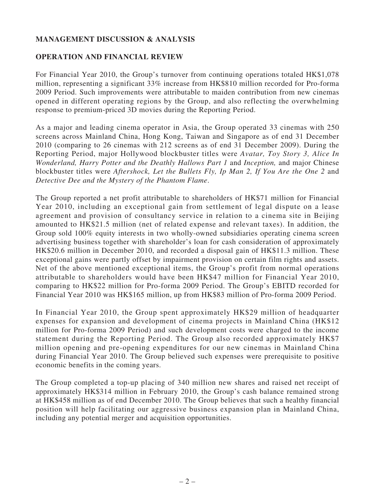# **MANAGEMENT DISCUSSION & ANALYSIS**

## **OPERATION AND FINANCIAL REVIEW**

For Financial Year 2010, the Group's turnover from continuing operations totaled HK\$1,078 million, representing a significant 33% increase from HK\$810 million recorded for Pro-forma 2009 Period. Such improvements were attributable to maiden contribution from new cinemas opened in different operating regions by the Group, and also reflecting the overwhelming response to premium-priced 3D movies during the Reporting Period.

As a major and leading cinema operator in Asia, the Group operated 33 cinemas with 250 screens across Mainland China, Hong Kong, Taiwan and Singapore as of end 31 December 2010 (comparing to 26 cinemas with 212 screens as of end 31 December 2009). During the Reporting Period, major Hollywood blockbuster titles were *Avatar, Toy Story 3, Alice In Wonderland, Harry Potter and the Deathly Hallows Part 1* and *Inception,* and major Chinese blockbuster titles were *Aftershock, Let the Bullets Fly, Ip Man 2, If You Are the One 2* and *Detective Dee and the Mystery of the Phantom Flame*.

The Group reported a net profit attributable to shareholders of HK\$71 million for Financial Year 2010, including an exceptional gain from settlement of legal dispute on a lease agreement and provision of consultancy service in relation to a cinema site in Beijing amounted to HK\$21.5 million (net of related expense and relevant taxes). In addition, the Group sold 100% equity interests in two wholly-owned subsidiaries operating cinema screen advertising business together with shareholder's loan for cash consideration of approximately HK\$20.6 million in December 2010, and recorded a disposal gain of HK\$11.3 million. These exceptional gains were partly offset by impairment provision on certain film rights and assets. Net of the above mentioned exceptional items, the Group's profit from normal operations attributable to shareholders would have been HK\$47 million for Financial Year 2010, comparing to HK\$22 million for Pro-forma 2009 Period. The Group's EBITD recorded for Financial Year 2010 was HK\$165 million, up from HK\$83 million of Pro-forma 2009 Period.

In Financial Year 2010, the Group spent approximately HK\$29 million of headquarter expenses for expansion and development of cinema projects in Mainland China (HK\$12 million for Pro-forma 2009 Period) and such development costs were charged to the income statement during the Reporting Period. The Group also recorded approximately HK\$7 million opening and pre-opening expenditures for our new cinemas in Mainland China during Financial Year 2010. The Group believed such expenses were prerequisite to positive economic benefits in the coming years.

The Group completed a top-up placing of 340 million new shares and raised net receipt of approximately HK\$314 million in February 2010, the Group's cash balance remained strong at HK\$458 million as of end December 2010. The Group believes that such a healthy financial position will help facilitating our aggressive business expansion plan in Mainland China, including any potential merger and acquisition opportunities.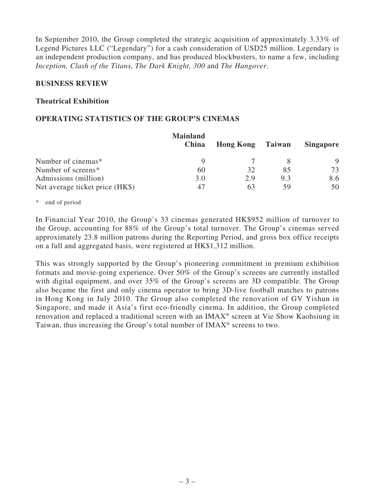In September 2010, the Group completed the strategic acquisition of approximately 3.33% of Legend Pictures LLC ("Legendary") for a cash consideration of USD25 million. Legendary is an independent production company, and has produced blockbusters, to name a few, including *Inception, Clash of the Titans, The Dark Knight, 300* and *The Hangover*.

## **BUSINESS REVIEW**

## **Theatrical Exhibition**

## **OPERATING STATISTICS OF THE GROUP'S CINEMAS**

|                                 | <b>Mainland</b><br>China | <b>Hong Kong</b> Taiwan |     | <b>Singapore</b> |
|---------------------------------|--------------------------|-------------------------|-----|------------------|
| Number of cinemas*              |                          |                         |     | 9                |
| Number of screens*              | 60                       | 32                      | 85  | 73               |
| Admissions (million)            | 3.0                      | 2.9                     | 9.3 | 8.6              |
| Net average ticket price (HK\$) | 47                       | 63                      | 59  | 50               |

\* end of period

In Financial Year 2010, the Group's 33 cinemas generated HK\$952 million of turnover to the Group, accounting for 88% of the Group's total turnover. The Group's cinemas served approximately 23.8 million patrons during the Reporting Period, and gross box office receipts on a full and aggregated basis, were registered at HK\$1,312 million.

This was strongly supported by the Group's pioneering commitment in premium exhibition formats and movie-going experience. Over 50% of the Group's screens are currently installed with digital equipment, and over 35% of the Group's screens are 3D compatible. The Group also became the first and only cinema operator to bring 3D-live football matches to patrons in Hong Kong in July 2010. The Group also completed the renovation of GV Yishun in Singapore, and made it Asia's first eco-friendly cinema. In addition, the Group completed renovation and replaced a traditional screen with an IMAX® screen at Vie Show Kaohsiung in Taiwan, thus increasing the Group's total number of  $IMAX<sup>®</sup>$  screens to two.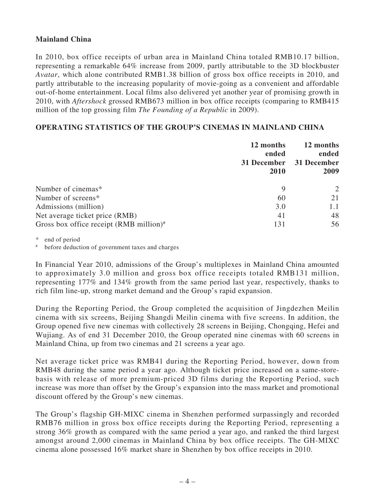## **Mainland China**

In 2010, box office receipts of urban area in Mainland China totaled RMB10.17 billion, representing a remarkable 64% increase from 2009, partly attributable to the 3D blockbuster *Avatar*, which alone contributed RMB1.38 billion of gross box office receipts in 2010, and partly attributable to the increasing popularity of movie-going as a convenient and affordable out-of-home entertainment. Local films also delivered yet another year of promising growth in 2010, with *Aftershock* grossed RMB673 million in box office receipts (comparing to RMB415 million of the top grossing film *The Founding of a Republic* in 2009).

## **OPERATING STATISTICS OF THE GROUP'S CINEMAS IN MAINLAND CHINA**

|                                                   | 12 months<br>ended<br>31 December<br>2010 | 12 months<br>ended<br>31 December<br>2009 |
|---------------------------------------------------|-------------------------------------------|-------------------------------------------|
| Number of cinemas*                                | 9                                         |                                           |
| Number of screens*                                | 60                                        | 21                                        |
| Admissions (million)                              | 3.0                                       | 1.1                                       |
| Net average ticket price (RMB)                    | 41                                        | 48                                        |
| Gross box office receipt $(RMB\text{ million})^*$ | 131                                       | 56                                        |

\* end of period

# before deduction of government taxes and charges

In Financial Year 2010, admissions of the Group's multiplexes in Mainland China amounted to approximately 3.0 million and gross box office receipts totaled RMB131 million, representing 177% and 134% growth from the same period last year, respectively, thanks to rich film line-up, strong market demand and the Group's rapid expansion.

During the Reporting Period, the Group completed the acquisition of Jingdezhen Meilin cinema with six screens, Beijing Shangdi Meilin cinema with five screens. In addition, the Group opened five new cinemas with collectively 28 screens in Beijing, Chongqing, Hefei and Wujiang. As of end 31 December 2010, the Group operated nine cinemas with 60 screens in Mainland China, up from two cinemas and 21 screens a year ago.

Net average ticket price was RMB41 during the Reporting Period, however, down from RMB48 during the same period a year ago. Although ticket price increased on a same-storebasis with release of more premium-priced 3D films during the Reporting Period, such increase was more than offset by the Group's expansion into the mass market and promotional discount offered by the Group's new cinemas.

The Group's flagship GH-MIXC cinema in Shenzhen performed surpassingly and recorded RMB76 million in gross box office receipts during the Reporting Period, representing a strong 36% growth as compared with the same period a year ago, and ranked the third largest amongst around 2,000 cinemas in Mainland China by box office receipts. The GH-MIXC cinema alone possessed 16% market share in Shenzhen by box office receipts in 2010.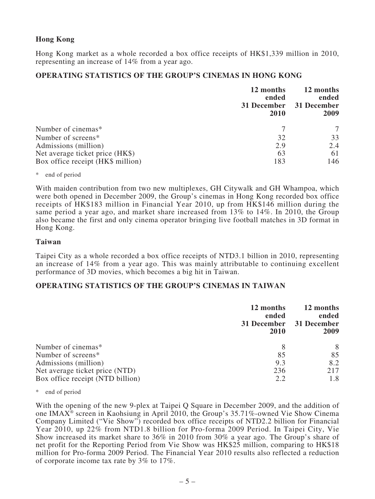## **Hong Kong**

Hong Kong market as a whole recorded a box office receipts of HK\$1,339 million in 2010, representing an increase of 14% from a year ago.

## **OPERATING STATISTICS OF THE GROUP'S CINEMAS IN HONG KONG**

| 12 months<br>ended<br>31 December<br>2010 | 12 months<br>ended<br>31 December<br>2009 |
|-------------------------------------------|-------------------------------------------|
|                                           |                                           |
| 32                                        | 33                                        |
| 2.9                                       | 2.4                                       |
| 63                                        | 61                                        |
| 183                                       | 146                                       |
|                                           |                                           |

\* end of period

With maiden contribution from two new multiplexes, GH Citywalk and GH Whampoa, which were both opened in December 2009, the Group's cinemas in Hong Kong recorded box office receipts of HK\$183 million in Financial Year 2010, up from HK\$146 million during the same period a year ago, and market share increased from 13% to 14%. In 2010, the Group also became the first and only cinema operator bringing live football matches in 3D format in Hong Kong.

### **Taiwan**

Taipei City as a whole recorded a box office receipts of NTD3.1 billion in 2010, representing an increase of 14% from a year ago. This was mainly attributable to continuing excellent performance of 3D movies, which becomes a big hit in Taiwan.

## **OPERATING STATISTICS OF THE GROUP'S CINEMAS IN TAIWAN**

|                                  | 12 months<br>ended<br>31 December<br>2010 | 12 months<br>ended<br>31 December<br>2009 |
|----------------------------------|-------------------------------------------|-------------------------------------------|
| Number of cinemas*               | 8                                         | 8                                         |
| Number of screens*               | 85                                        | 85                                        |
| Admissions (million)             | 9.3                                       | 8.2                                       |
| Net average ticket price (NTD)   | 236                                       | 217                                       |
| Box office receipt (NTD billion) | 2.2                                       | 1.8                                       |

\* end of period

With the opening of the new 9-plex at Taipei Q Square in December 2009, and the addition of one IMAX® screen in Kaohsiung in April 2010, the Group's 35.71%-owned Vie Show Cinema Company Limited ("Vie Show") recorded box office receipts of NTD2.2 billion for Financial Year 2010, up 22% from NTD1.8 billion for Pro-forma 2009 Period. In Taipei City, Vie Show increased its market share to 36% in 2010 from 30% a year ago. The Group's share of net profit for the Reporting Period from Vie Show was HK\$25 million, comparing to HK\$18 million for Pro-forma 2009 Period. The Financial Year 2010 results also reflected a reduction of corporate income tax rate by 3% to 17%.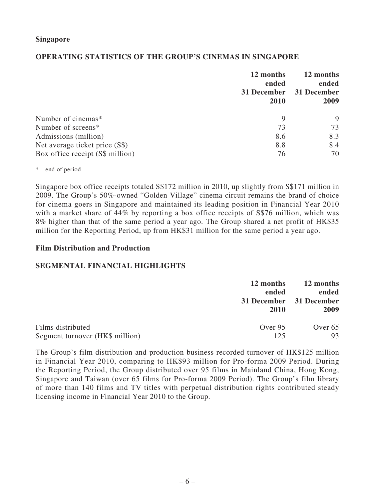## **OPERATING STATISTICS OF THE GROUP'S CINEMAS IN SINGAPORE**

|                                  | 12 months<br>ended<br>31 December<br>2010 | 12 months<br>ended<br>31 December<br>2009 |
|----------------------------------|-------------------------------------------|-------------------------------------------|
| Number of cinemas*               | 9                                         | 9                                         |
| Number of screens*               | 73                                        | 73                                        |
| Admissions (million)             | 8.6                                       | 8.3                                       |
| Net average ticket price (S\$)   | 8.8                                       | 8.4                                       |
| Box office receipt (S\$ million) | 76                                        | 70                                        |

### \* end of period

Singapore box office receipts totaled S\$172 million in 2010, up slightly from S\$171 million in 2009. The Group's 50%-owned "Golden Village" cinema circuit remains the brand of choice for cinema goers in Singapore and maintained its leading position in Financial Year 2010 with a market share of 44% by reporting a box office receipts of S\$76 million, which was 8% higher than that of the same period a year ago. The Group shared a net profit of HK\$35 million for the Reporting Period, up from HK\$31 million for the same period a year ago.

### **Film Distribution and Production**

## **SEGMENTAL FINANCIAL HIGHLIGHTS**

|                                 | 12 months<br>ended<br>31 December 31 December<br><b>2010</b> |         |
|---------------------------------|--------------------------------------------------------------|---------|
| Films distributed               | Over 95                                                      | Over 65 |
| Segment turnover (HK\$ million) | 125                                                          | 93      |

The Group's film distribution and production business recorded turnover of HK\$125 million in Financial Year 2010, comparing to HK\$93 million for Pro-forma 2009 Period. During the Reporting Period, the Group distributed over 95 films in Mainland China, Hong Kong, Singapore and Taiwan (over 65 films for Pro-forma 2009 Period). The Group's film library of more than 140 films and TV titles with perpetual distribution rights contributed steady licensing income in Financial Year 2010 to the Group.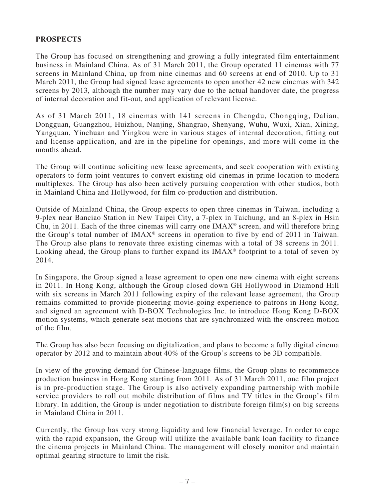## **PROSPECTS**

The Group has focused on strengthening and growing a fully integrated film entertainment business in Mainland China. As of 31 March 2011, the Group operated 11 cinemas with 77 screens in Mainland China, up from nine cinemas and 60 screens at end of 2010. Up to 31 March 2011, the Group had signed lease agreements to open another 42 new cinemas with 342 screens by 2013, although the number may vary due to the actual handover date, the progress of internal decoration and fit-out, and application of relevant license.

As of 31 March 2011, 18 cinemas with 141 screens in Chengdu, Chongqing, Dalian, Dongguan, Guangzhou, Huizhou, Nanjing, Shangrao, Shenyang, Wuhu, Wuxi, Xian, Xining, Yangquan, Yinchuan and Yingkou were in various stages of internal decoration, fitting out and license application, and are in the pipeline for openings, and more will come in the months ahead.

The Group will continue soliciting new lease agreements, and seek cooperation with existing operators to form joint ventures to convert existing old cinemas in prime location to modern multiplexes. The Group has also been actively pursuing cooperation with other studios, both in Mainland China and Hollywood, for film co-production and distribution.

Outside of Mainland China, the Group expects to open three cinemas in Taiwan, including a 9-plex near Banciao Station in New Taipei City, a 7-plex in Taichung, and an 8-plex in Hsin Chu, in 2011. Each of the three cinemas will carry one  $IMAX<sup>®</sup>$  screen, and will therefore bring the Group's total number of IMAX® screens in operation to five by end of 2011 in Taiwan. The Group also plans to renovate three existing cinemas with a total of 38 screens in 2011. Looking ahead, the Group plans to further expand its  $IMAX<sup>®</sup>$  footprint to a total of seven by 2014.

In Singapore, the Group signed a lease agreement to open one new cinema with eight screens in 2011. In Hong Kong, although the Group closed down GH Hollywood in Diamond Hill with six screens in March 2011 following expiry of the relevant lease agreement, the Group remains committed to provide pioneering movie-going experience to patrons in Hong Kong, and signed an agreement with D-BOX Technologies Inc. to introduce Hong Kong D-BOX motion systems, which generate seat motions that are synchronized with the onscreen motion of the film.

The Group has also been focusing on digitalization, and plans to become a fully digital cinema operator by 2012 and to maintain about 40% of the Group's screens to be 3D compatible.

In view of the growing demand for Chinese-language films, the Group plans to recommence production business in Hong Kong starting from 2011. As of 31 March 2011, one film project is in pre-production stage. The Group is also actively expanding partnership with mobile service providers to roll out mobile distribution of films and TV titles in the Group's film library. In addition, the Group is under negotiation to distribute foreign film(s) on big screens in Mainland China in 2011.

Currently, the Group has very strong liquidity and low financial leverage. In order to cope with the rapid expansion, the Group will utilize the available bank loan facility to finance the cinema projects in Mainland China. The management will closely monitor and maintain optimal gearing structure to limit the risk.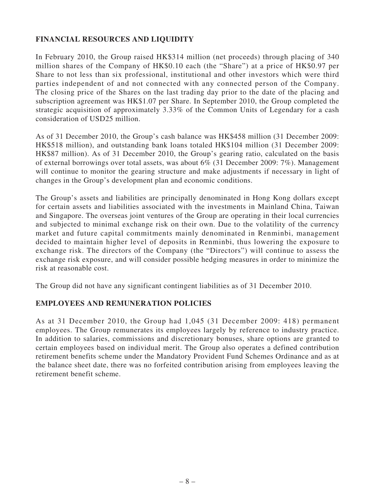# **FINANCIAL RESOURCES AND LIQUIDITY**

In February 2010, the Group raised HK\$314 million (net proceeds) through placing of 340 million shares of the Company of HK\$0.10 each (the "Share") at a price of HK\$0.97 per Share to not less than six professional, institutional and other investors which were third parties independent of and not connected with any connected person of the Company. The closing price of the Shares on the last trading day prior to the date of the placing and subscription agreement was HK\$1.07 per Share. In September 2010, the Group completed the strategic acquisition of approximately 3.33% of the Common Units of Legendary for a cash consideration of USD25 million.

As of 31 December 2010, the Group's cash balance was HK\$458 million (31 December 2009: HK\$518 million), and outstanding bank loans totaled HK\$104 million (31 December 2009: HK\$87 million). As of 31 December 2010, the Group's gearing ratio, calculated on the basis of external borrowings over total assets, was about 6% (31 December 2009: 7%). Management will continue to monitor the gearing structure and make adjustments if necessary in light of changes in the Group's development plan and economic conditions.

The Group's assets and liabilities are principally denominated in Hong Kong dollars except for certain assets and liabilities associated with the investments in Mainland China, Taiwan and Singapore. The overseas joint ventures of the Group are operating in their local currencies and subjected to minimal exchange risk on their own. Due to the volatility of the currency market and future capital commitments mainly denominated in Renminbi, management decided to maintain higher level of deposits in Renminbi, thus lowering the exposure to exchange risk. The directors of the Company (the "Directors") will continue to assess the exchange risk exposure, and will consider possible hedging measures in order to minimize the risk at reasonable cost.

The Group did not have any significant contingent liabilities as of 31 December 2010.

## **EMPLOYEES AND REMUNERATION POLICIES**

As at 31 December 2010, the Group had 1,045 (31 December 2009: 418) permanent employees. The Group remunerates its employees largely by reference to industry practice. In addition to salaries, commissions and discretionary bonuses, share options are granted to certain employees based on individual merit. The Group also operates a defined contribution retirement benefits scheme under the Mandatory Provident Fund Schemes Ordinance and as at the balance sheet date, there was no forfeited contribution arising from employees leaving the retirement benefit scheme.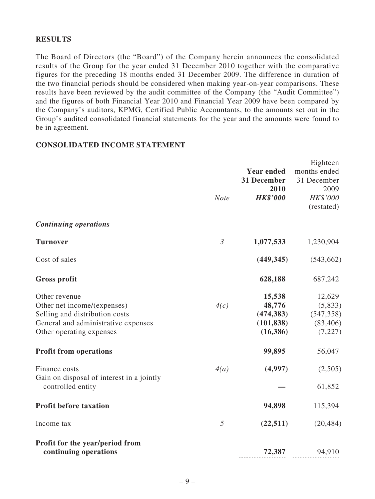## **RESULTS**

The Board of Directors (the "Board") of the Company herein announces the consolidated results of the Group for the year ended 31 December 2010 together with the comparative figures for the preceding 18 months ended 31 December 2009. The difference in duration of the two financial periods should be considered when making year-on-year comparisons. These results have been reviewed by the audit committee of the Company (the "Audit Committee") and the figures of both Financial Year 2010 and Financial Year 2009 have been compared by the Company's auditors, KPMG, Certified Public Accountants, to the amounts set out in the Group's audited consolidated financial statements for the year and the amounts were found to be in agreement.

## **CONSOLIDATED INCOME STATEMENT**

|                                                                                                                                                   | <b>Note</b>    | <b>Year ended</b><br>31 December<br>2010<br><b>HK\$'000</b> | Eighteen<br>months ended<br>31 December<br>2009<br>HK\$'000<br>(restated) |
|---------------------------------------------------------------------------------------------------------------------------------------------------|----------------|-------------------------------------------------------------|---------------------------------------------------------------------------|
| <b>Continuing operations</b>                                                                                                                      |                |                                                             |                                                                           |
| <b>Turnover</b>                                                                                                                                   | $\mathfrak{Z}$ | 1,077,533                                                   | 1,230,904                                                                 |
| Cost of sales                                                                                                                                     |                | (449, 345)                                                  | (543, 662)                                                                |
| <b>Gross profit</b>                                                                                                                               |                | 628,188                                                     | 687,242                                                                   |
| Other revenue<br>Other net income/(expenses)<br>Selling and distribution costs<br>General and administrative expenses<br>Other operating expenses | 4(c)           | 15,538<br>48,776<br>(474, 383)<br>(101, 838)<br>(16, 386)   | 12,629<br>(5,833)<br>(547, 358)<br>(83, 406)<br>(7,227)                   |
| <b>Profit from operations</b>                                                                                                                     |                | 99,895                                                      | 56,047                                                                    |
| Finance costs<br>Gain on disposal of interest in a jointly<br>controlled entity                                                                   | 4(a)           | (4,997)                                                     | (2,505)<br>61,852                                                         |
| <b>Profit before taxation</b>                                                                                                                     |                | 94,898                                                      | 115,394                                                                   |
| Income tax                                                                                                                                        | 5              | (22, 511)                                                   | (20, 484)                                                                 |
| Profit for the year/period from<br>continuing operations                                                                                          |                | 72,387                                                      | 94,910                                                                    |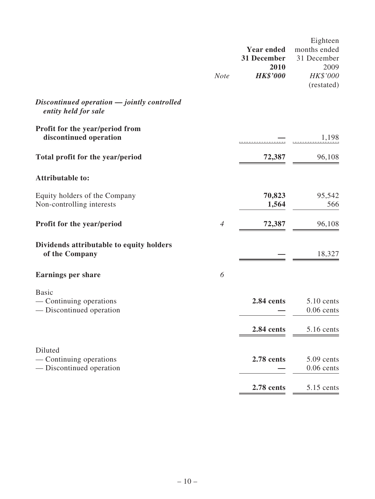|                                                                     | <b>Note</b>    | <b>Year ended</b><br>31 December<br>2010<br><b>HK\$'000</b> | Eighteen<br>months ended<br>31 December<br>2009<br>HK\$'000<br>(restated) |
|---------------------------------------------------------------------|----------------|-------------------------------------------------------------|---------------------------------------------------------------------------|
| Discontinued operation - jointly controlled<br>entity held for sale |                |                                                             |                                                                           |
| Profit for the year/period from<br>discontinued operation           |                |                                                             | 1,198                                                                     |
| Total profit for the year/period                                    |                | 72,387                                                      | 96,108                                                                    |
| <b>Attributable to:</b>                                             |                |                                                             |                                                                           |
| Equity holders of the Company<br>Non-controlling interests          |                | 70,823<br>1,564                                             | 95,542<br>566                                                             |
| Profit for the year/period                                          | $\overline{4}$ | 72,387                                                      | 96,108                                                                    |
| Dividends attributable to equity holders<br>of the Company          |                |                                                             | 18,327                                                                    |
| <b>Earnings per share</b>                                           | 6              |                                                             |                                                                           |
| <b>Basic</b><br>— Continuing operations<br>— Discontinued operation |                | 2.84 cents                                                  | 5.10 cents<br>$0.06$ cents                                                |
|                                                                     |                | 2.84 cents                                                  | 5.16 cents                                                                |
| Diluted<br>— Continuing operations<br>— Discontinued operation      |                | 2.78 cents                                                  | $5.09$ cents<br>$0.06$ cents                                              |
|                                                                     |                | 2.78 cents                                                  | 5.15 cents                                                                |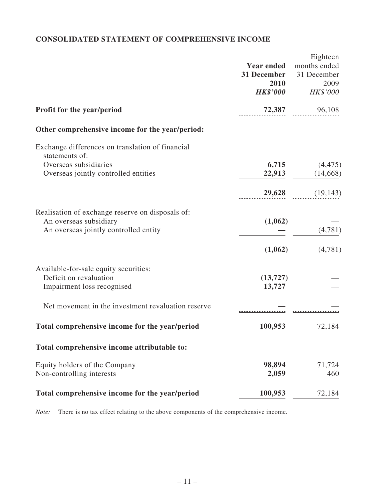# **CONSOLIDATED STATEMENT OF COMPREHENSIVE INCOME**

|                                                                    | <b>Year ended</b><br>31 December<br>2010<br><b>HK\$'000</b> | Eighteen<br>months ended<br>31 December<br>2009<br>HK\$'000 |
|--------------------------------------------------------------------|-------------------------------------------------------------|-------------------------------------------------------------|
| <b>Profit for the year/period</b>                                  | 72,387                                                      | 96,108                                                      |
| Other comprehensive income for the year/period:                    |                                                             |                                                             |
| Exchange differences on translation of financial<br>statements of: |                                                             |                                                             |
| Overseas subsidiaries                                              | 6,715                                                       | (4, 475)                                                    |
| Overseas jointly controlled entities                               | 22,913                                                      | (14, 668)                                                   |
|                                                                    | 29,628                                                      | (19, 143)                                                   |
| Realisation of exchange reserve on disposals of:                   |                                                             |                                                             |
| An overseas subsidiary<br>An overseas jointly controlled entity    | (1,062)                                                     | (4,781)                                                     |
|                                                                    | (1,062)                                                     | (4,781)                                                     |
| Available-for-sale equity securities:                              |                                                             |                                                             |
| Deficit on revaluation<br>Impairment loss recognised               | (13, 727)<br>13,727                                         |                                                             |
|                                                                    |                                                             |                                                             |
| Net movement in the investment revaluation reserve                 |                                                             |                                                             |
| Total comprehensive income for the year/period                     | 100,953                                                     | 72,184                                                      |
| Total comprehensive income attributable to:                        |                                                             |                                                             |
| Equity holders of the Company                                      | 98,894                                                      | 71,724                                                      |
| Non-controlling interests                                          | 2,059                                                       | 460                                                         |
| Total comprehensive income for the year/period                     | 100,953                                                     | 72,184                                                      |

*Note:* There is no tax effect relating to the above components of the comprehensive income.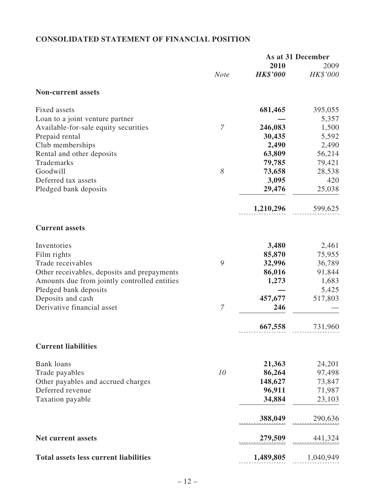# **CONSOLIDATED STATEMENT OF FINANCIAL POSITION**

|                                              |                       |                 | As at 31 December |  |
|----------------------------------------------|-----------------------|-----------------|-------------------|--|
|                                              |                       | 2010            | 2009              |  |
|                                              | <b>Note</b>           | <b>HK\$'000</b> | HK\$'000          |  |
| <b>Non-current assets</b>                    |                       |                 |                   |  |
| Fixed assets                                 |                       | 681,465         | 395,055           |  |
| Loan to a joint venture partner              |                       |                 | 5,357             |  |
| Available-for-sale equity securities         | 7                     | 246,083         | 1,500             |  |
| Prepaid rental                               |                       | 30,435          | 5,592             |  |
| Club memberships                             |                       | 2,490           | 2,490             |  |
| Rental and other deposits                    |                       | 63,809          | 56,214            |  |
| Trademarks                                   |                       | 79,785          | 79,421            |  |
| Goodwill                                     | $\boldsymbol{\delta}$ | 73,658          | 28,538            |  |
| Deferred tax assets                          |                       | 3,095           | 420               |  |
| Pledged bank deposits                        |                       | 29,476          | 25,038            |  |
|                                              |                       | 1,210,296       | 599,625           |  |
| <b>Current assets</b>                        |                       |                 |                   |  |
| Inventories                                  |                       | 3,480           | 2,461             |  |
| Film rights                                  |                       | 85,870          | 75,955            |  |
| Trade receivables                            | 9                     | 32,996          | 36,789            |  |
| Other receivables, deposits and prepayments  |                       | 86,016          | 91,844            |  |
| Amounts due from jointly controlled entities |                       | 1,273           | 1,683             |  |
| Pledged bank deposits                        |                       |                 | 5,425             |  |
| Deposits and cash                            |                       | 457,677         | 517,803           |  |
| Derivative financial asset                   | 7                     | 246             |                   |  |
|                                              |                       | 667,558         | 731,960           |  |
| <b>Current liabilities</b>                   |                       |                 |                   |  |
| <b>Bank</b> loans                            |                       | 21,363          | 24,201            |  |
| Trade payables                               | 10                    | 86,264          | 97,498            |  |
| Other payables and accrued charges           |                       | 148,627         | 73,847            |  |
| Deferred revenue                             |                       | 96,911          | 71,987            |  |
| Taxation payable                             |                       | 34,884          | 23,103            |  |
|                                              |                       | 388,049         | 290,636           |  |
| <b>Net current assets</b>                    |                       | 279,509         | 441,324           |  |
| <b>Total assets less current liabilities</b> |                       | 1,489,805       | 1,040,949         |  |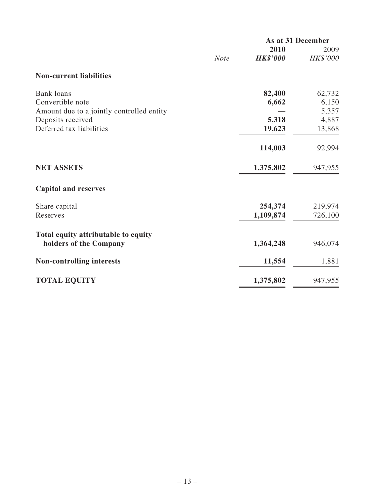|                                           |             | As at 31 December |          |  |
|-------------------------------------------|-------------|-------------------|----------|--|
|                                           |             | 2010              | 2009     |  |
|                                           | <b>Note</b> | <b>HK\$'000</b>   | HK\$'000 |  |
| <b>Non-current liabilities</b>            |             |                   |          |  |
| <b>Bank</b> loans                         |             | 82,400            | 62,732   |  |
| Convertible note                          |             | 6,662             | 6,150    |  |
| Amount due to a jointly controlled entity |             |                   | 5,357    |  |
| Deposits received                         |             | 5,318             | 4,887    |  |
| Deferred tax liabilities                  |             | 19,623            | 13,868   |  |
|                                           |             | 114,003           | 92,994   |  |
| <b>NET ASSETS</b>                         |             | 1,375,802         | 947,955  |  |
| <b>Capital and reserves</b>               |             |                   |          |  |
| Share capital                             |             | 254,374           | 219,974  |  |
| Reserves                                  |             | 1,109,874         | 726,100  |  |
| Total equity attributable to equity       |             |                   |          |  |
| holders of the Company                    |             | 1,364,248         | 946,074  |  |
| <b>Non-controlling interests</b>          |             | 11,554            | 1,881    |  |
| <b>TOTAL EQUITY</b>                       |             | 1,375,802         | 947,955  |  |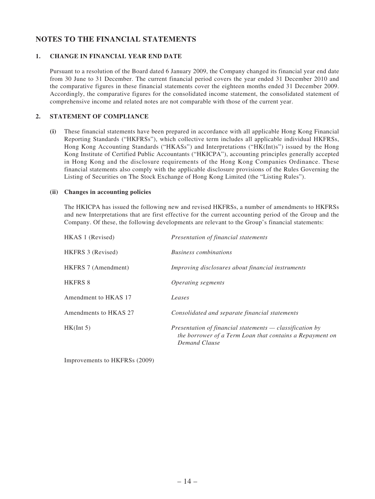# **NOTES TO THE FINANCIAL STATEMENTS**

### **1. CHANGE IN FINANCIAL YEAR END DATE**

Pursuant to a resolution of the Board dated 6 January 2009, the Company changed its financial year end date from 30 June to 31 December. The current financial period covers the year ended 31 December 2010 and the comparative figures in these financial statements cover the eighteen months ended 31 December 2009. Accordingly, the comparative figures for the consolidated income statement, the consolidated statement of comprehensive income and related notes are not comparable with those of the current year.

### **2. STATEMENT OF COMPLIANCE**

**(i)** These financial statements have been prepared in accordance with all applicable Hong Kong Financial Reporting Standards ("HKFRSs"), which collective term includes all applicable individual HKFRSs, Hong Kong Accounting Standards ("HKASs") and Interpretations ("HK(Int)s") issued by the Hong Kong Institute of Certified Public Accountants ("HKICPA"), accounting principles generally accepted in Hong Kong and the disclosure requirements of the Hong Kong Companies Ordinance. These financial statements also comply with the applicable disclosure provisions of the Rules Governing the Listing of Securities on The Stock Exchange of Hong Kong Limited (the "Listing Rules").

### **(ii) Changes in accounting policies**

The HKICPA has issued the following new and revised HKFRSs, a number of amendments to HKFRSs and new Interpretations that are first effective for the current accounting period of the Group and the Company. Of these, the following developments are relevant to the Group's financial statements:

| HKAS 1 (Revised)      | Presentation of financial statements                                                                                                    |
|-----------------------|-----------------------------------------------------------------------------------------------------------------------------------------|
| HKFRS 3 (Revised)     | <b>Business combinations</b>                                                                                                            |
| HKFRS 7 (Amendment)   | Improving disclosures about financial instruments                                                                                       |
| <b>HKFRS 8</b>        | <i>Operating segments</i>                                                                                                               |
| Amendment to HKAS 17  | Leases                                                                                                                                  |
| Amendments to HKAS 27 | Consolidated and separate financial statements                                                                                          |
| HK(int 5)             | Presentation of financial statements $-$ classification by<br>the borrower of a Term Loan that contains a Repayment on<br>Demand Clause |

Improvements to HKFRSs (2009)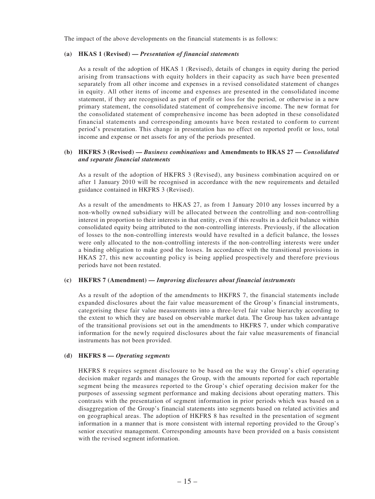The impact of the above developments on the financial statements is as follows:

#### **(a) HKAS 1 (Revised) —** *Presentation of financial statements*

As a result of the adoption of HKAS 1 (Revised), details of changes in equity during the period arising from transactions with equity holders in their capacity as such have been presented separately from all other income and expenses in a revised consolidated statement of changes in equity. All other items of income and expenses are presented in the consolidated income statement, if they are recognised as part of profit or loss for the period, or otherwise in a new primary statement, the consolidated statement of comprehensive income. The new format for the consolidated statement of comprehensive income has been adopted in these consolidated financial statements and corresponding amounts have been restated to conform to current period's presentation. This change in presentation has no effect on reported profit or loss, total income and expense or net assets for any of the periods presented.

### **(b) HKFRS 3 (Revised) —** *Business combinations* **and Amendments to HKAS 27 —** *Consolidated and separate financial statements*

As a result of the adoption of HKFRS 3 (Revised), any business combination acquired on or after 1 January 2010 will be recognised in accordance with the new requirements and detailed guidance contained in HKFRS 3 (Revised).

As a result of the amendments to HKAS 27, as from 1 January 2010 any losses incurred by a non-wholly owned subsidiary will be allocated between the controlling and non-controlling interest in proportion to their interests in that entity, even if this results in a deficit balance within consolidated equity being attributed to the non-controlling interests. Previously, if the allocation of losses to the non-controlling interests would have resulted in a deficit balance, the losses were only allocated to the non-controlling interests if the non-controlling interests were under a binding obligation to make good the losses. In accordance with the transitional provisions in HKAS 27, this new accounting policy is being applied prospectively and therefore previous periods have not been restated.

#### **(c) HKFRS 7 (Amendment) —** *Improving disclosures about financial instruments*

As a result of the adoption of the amendments to HKFRS 7, the financial statements include expanded disclosures about the fair value measurement of the Group's financial instruments, categorising these fair value measurements into a three-level fair value hierarchy according to the extent to which they are based on observable market data. The Group has taken advantage of the transitional provisions set out in the amendments to HKFRS 7, under which comparative information for the newly required disclosures about the fair value measurements of financial instruments has not been provided.

#### **(d) HKFRS 8 —** *Operating segments*

HKFRS 8 requires segment disclosure to be based on the way the Group's chief operating decision maker regards and manages the Group, with the amounts reported for each reportable segment being the measures reported to the Group's chief operating decision maker for the purposes of assessing segment performance and making decisions about operating matters. This contrasts with the presentation of segment information in prior periods which was based on a disaggregation of the Group's financial statements into segments based on related activities and on geographical areas. The adoption of HKFRS 8 has resulted in the presentation of segment information in a manner that is more consistent with internal reporting provided to the Group's senior executive management. Corresponding amounts have been provided on a basis consistent with the revised segment information.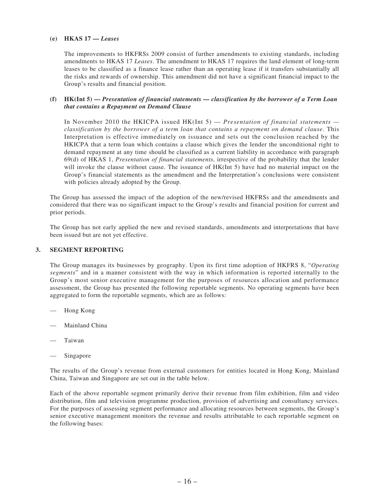### **(e) HKAS 17 —** *Leases*

The improvements to HKFRSs 2009 consist of further amendments to existing standards, including amendments to HKAS 17 *Leases*. The amendment to HKAS 17 requires the land element of long-term leases to be classified as a finance lease rather than an operating lease if it transfers substantially all the risks and rewards of ownership. This amendment did not have a significant financial impact to the Group's results and financial position.

### **(f) HK(Int 5) —** *Presentation of financial statements — classification by the borrower of a Term Loan that contains a Repayment on Demand Clause*

 In November 2010 the HKICPA issued HK(Int 5) — *Presentation of financial statements classification by the borrower of a term loan that contains a repayment on demand clause.* This Interpretation is effective immediately on issuance and sets out the conclusion reached by the HKICPA that a term loan which contains a clause which gives the lender the unconditional right to demand repayment at any time should be classified as a current liability in accordance with paragraph 69(d) of HKAS 1, *Presentation of financial statements*, irrespective of the probability that the lender will invoke the clause without cause. The issuance of HK(Int 5) have had no material impact on the Group's financial statements as the amendment and the Interpretation's conclusions were consistent with policies already adopted by the Group.

The Group has assessed the impact of the adoption of the new/revised HKFRSs and the amendments and considered that there was no significant impact to the Group's results and financial position for current and prior periods.

The Group has not early applied the new and revised standards, amendments and interpretations that have been issued but are not yet effective.

### **3. SEGMENT REPORTING**

The Group manages its businesses by geography. Upon its first time adoption of HKFRS 8, "*Operating segments*" and in a manner consistent with the way in which information is reported internally to the Group's most senior executive management for the purposes of resources allocation and performance assessment, the Group has presented the following reportable segments. No operating segments have been aggregated to form the reportable segments, which are as follows:

- Hong Kong
- Mainland China
- Taiwan
- Singapore

The results of the Group's revenue from external customers for entities located in Hong Kong, Mainland China, Taiwan and Singapore are set out in the table below.

Each of the above reportable segment primarily derive their revenue from film exhibition, film and video distribution, film and television programme production, provision of advertising and consultancy services. For the purposes of assessing segment performance and allocating resources between segments, the Group's senior executive management monitors the revenue and results attributable to each reportable segment on the following bases: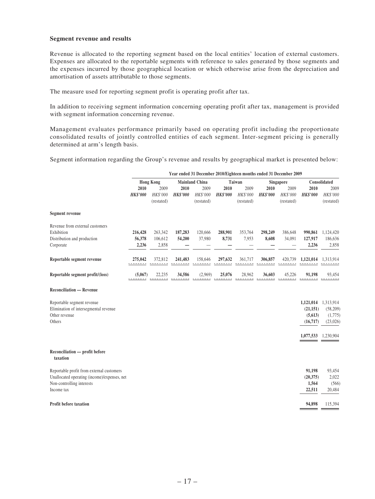#### **Segment revenue and results**

Revenue is allocated to the reporting segment based on the local entities' location of external customers. Expenses are allocated to the reportable segments with reference to sales generated by those segments and the expenses incurred by those geographical location or which otherwise arise from the depreciation and amortisation of assets attributable to those segments.

The measure used for reporting segment profit is operating profit after tax.

In addition to receiving segment information concerning operating profit after tax, management is provided with segment information concerning revenue.

Management evaluates performance primarily based on operating profit including the proportionate consolidated results of jointly controlled entities of each segment. Inter-segment pricing is generally determined at arm's length basis.

Segment information regarding the Group's revenue and results by geographical market is presented below:

|                                              | Year ended 31 December 2010/Eighteen months ended 31 December 2009 |            |                       |            |                 |            |                  |            |                     |            |
|----------------------------------------------|--------------------------------------------------------------------|------------|-----------------------|------------|-----------------|------------|------------------|------------|---------------------|------------|
|                                              | <b>Hong Kong</b>                                                   |            | <b>Mainland China</b> |            | Taiwan          |            | <b>Singapore</b> |            | Consolidated        |            |
|                                              | 2010                                                               | 2009       | 2010                  | 2009       | 2010            | 2009       | 2010             | 2009       | 2010                | 2009       |
|                                              | <b>HK\$'000</b>                                                    | HK\$'000   | <b>HK\$'000</b>       | HK\$'000   | <b>HK\$'000</b> | HK\$'000   | <b>HK\$'000</b>  | HK\$'000   | <b>HK\$'000</b>     | HK\$'000   |
|                                              |                                                                    | (restated) |                       | (restated) |                 | (restated) |                  | (restated) |                     | (restated) |
| <b>Segment revenue</b>                       |                                                                    |            |                       |            |                 |            |                  |            |                     |            |
| Revenue from external customers              |                                                                    |            |                       |            |                 |            |                  |            |                     |            |
| Exhibition                                   | 216,428                                                            | 263,342    | 187,283               | 120,666    | 288,901         | 353,764    | 298,249          | 386,648    | 990,861             | 1,124,420  |
| Distribution and production                  | 56,378                                                             | 106,612    | 54,200                | 37,980     | 8,731           | 7,953      | 8,608            | 34,091     | 127,917             | 186,636    |
| Corporate                                    | 2,236                                                              | 2,858      |                       |            |                 |            |                  |            | 2,236               | 2,858      |
| Reportable segment revenue                   | 275,042                                                            | 372,812    | 241,483               | 158,646    | 297,632         | 361,717    | 306,857          | 420,739    | 1,121,014           | 1,313,914  |
| Reportable segment profit/(loss)             | (5,067)                                                            | 22,235     | 34,586                | (2,969)    | 25,076          | 28,962     | 36,603           | 45,226     | 91,198              | 93,454     |
| <b>Reconciliation — Revenue</b>              |                                                                    |            |                       |            |                 |            |                  |            |                     |            |
| Reportable segment revenue                   |                                                                    |            |                       |            |                 |            |                  |            | 1,121,014           | 1,313,914  |
| Elimination of intersegmental revenue        |                                                                    |            |                       |            |                 |            |                  |            | (21, 151)           | (58,209)   |
| Other revenue                                |                                                                    |            |                       |            |                 |            |                  |            | (5,613)             | (1,775)    |
| Others                                       |                                                                    |            |                       |            |                 |            |                  |            | (16, 717)           | (23,026)   |
|                                              |                                                                    |            |                       |            |                 |            |                  |            | 1,077,533 1,230,904 |            |
| Reconciliation — profit before<br>taxation   |                                                                    |            |                       |            |                 |            |                  |            |                     |            |
| Reportable profit from external customers    |                                                                    |            |                       |            |                 |            |                  |            | 91,198              | 93,454     |
| Unallocated operating (income)/expenses, net |                                                                    |            |                       |            |                 |            |                  |            | (20, 375)           | 2,022      |
| Non-controlling interests                    |                                                                    |            |                       |            |                 |            |                  |            | 1,564               | (566)      |
| Income tax                                   |                                                                    |            |                       |            |                 |            |                  |            | 22,511              | 20,484     |
| Profit before taxation                       |                                                                    |            |                       |            |                 |            |                  |            | 94,898              | 115,394    |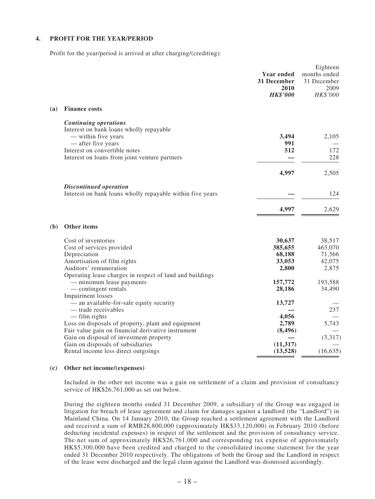### **4. PROFIT FOR THE YEAR/PERIOD**

Profit for the year/period is arrived at after charging/(crediting):

|     |                                                                                                                                                                                                        | Year ended<br>31 December<br>2010<br><b>HK\$'000</b> | Eighteen<br>months ended<br>31 December<br>2009<br>HK\$'000 |
|-----|--------------------------------------------------------------------------------------------------------------------------------------------------------------------------------------------------------|------------------------------------------------------|-------------------------------------------------------------|
| (a) | <b>Finance costs</b>                                                                                                                                                                                   |                                                      |                                                             |
|     | <b>Continuing operations</b><br>Interest on bank loans wholly repayable<br>— within five years<br>— after five years<br>Interest on convertible notes<br>Interest on loans from joint venture partners | 3,494<br>991<br>512                                  | 2,105<br>172<br>228                                         |
|     |                                                                                                                                                                                                        |                                                      |                                                             |
|     |                                                                                                                                                                                                        | 4,997                                                | 2,505                                                       |
|     | <b>Discontinued operation</b><br>Interest on bank loans wholly repayable within five years                                                                                                             |                                                      | 124                                                         |
|     |                                                                                                                                                                                                        | 4,997                                                | 2,629                                                       |
| (b) | Other items                                                                                                                                                                                            |                                                      |                                                             |
|     | Cost of inventories<br>Cost of services provided<br>Depreciation<br>Amortisation of film rights<br>Auditors' remuneration                                                                              | 30,637<br>385,655<br>68,188<br>33,053<br>2,800       | 38,517<br>463,070<br>71,566<br>42,075<br>2,875              |
|     | Operating lease charges in respect of land and buildings<br>- minimum lease payments<br>— contingent rentals<br>Impairment losses                                                                      | 157,772<br>28,186                                    | 193,588<br>34,490                                           |
|     | - an available-for-sale equity security<br>- trade receivables<br>— film rights                                                                                                                        | 13,727<br>4,056                                      | 237                                                         |
|     | Loss on disposals of property, plant and equipment<br>Fair value gain on financial derivative instrument<br>Gain on disposal of investment property                                                    | 2,789<br>(8, 496)                                    | 5,743<br>(3,317)                                            |
|     | Gain on disposals of subsidiaries<br>Rental income less direct outgoings                                                                                                                               | (11, 317)<br>(13,528)                                | (16, 635)                                                   |

#### **(c) Other net income/(expenses)**

Included in the other net income was a gain on settlement of a claim and provision of consultancy service of HK\$26,761,000 as set out below.

During the eighteen months ended 31 December 2009, a subsidiary of the Group was engaged in litigation for breach of lease agreement and claim for damages against a landlord (the "Landlord") in Mainland China. On 14 January 2010, the Group reached a settlement agreement with the Landlord and received a sum of RMB28,800,000 (approximately HK\$33,120,000) in February 2010 (before deducting incidental expenses) in respect of the settlement and the provision of consultancy service. The net sum of approximately HK\$26,761,000 and corresponding tax expense of approximately HK\$5,300,000 have been credited and charged to the consolidated income statement for the year ended 31 December 2010 respectively. The obligations of both the Group and the Landlord in respect of the lease were discharged and the legal claim against the Landlord was dismissed accordingly.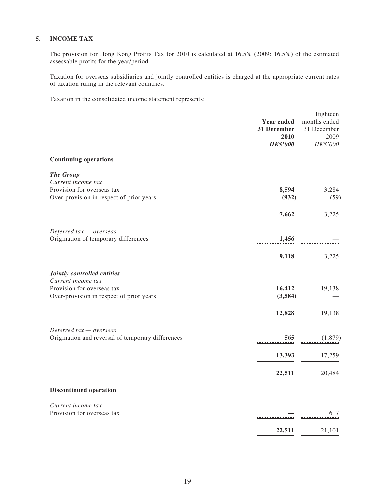### **5. INCOME TAX**

The provision for Hong Kong Profits Tax for 2010 is calculated at 16.5% (2009: 16.5%) of the estimated assessable profits for the year/period.

Taxation for overseas subsidiaries and jointly controlled entities is charged at the appropriate current rates of taxation ruling in the relevant countries.

Taxation in the consolidated income statement represents:

|                                                   | Year ended<br>31 December<br>2010<br><b>HK\$'000</b> | Eighteen<br>months ended<br>31 December<br>2009<br>HK\$'000 |
|---------------------------------------------------|------------------------------------------------------|-------------------------------------------------------------|
| <b>Continuing operations</b>                      |                                                      |                                                             |
| <b>The Group</b>                                  |                                                      |                                                             |
| Current income tax                                |                                                      |                                                             |
| Provision for overseas tax                        | 8,594                                                | 3,284                                                       |
| Over-provision in respect of prior years          | (932)                                                | (59)                                                        |
|                                                   | 7,662                                                | 3,225                                                       |
| Deferred $tax -overse$                            |                                                      |                                                             |
| Origination of temporary differences              | 1,456                                                |                                                             |
|                                                   | 9,118                                                | 3,225                                                       |
|                                                   |                                                      |                                                             |
| Jointly controlled entities                       |                                                      |                                                             |
| Current income tax                                |                                                      |                                                             |
| Provision for overseas tax                        | 16,412                                               | 19,138                                                      |
| Over-provision in respect of prior years          | (3,584)                                              |                                                             |
|                                                   | 12,828                                               | 19,138                                                      |
| Deferred $tax -overse$                            |                                                      |                                                             |
| Origination and reversal of temporary differences | 565                                                  | (1,879)                                                     |
|                                                   | 13,393                                               | 17,259                                                      |
|                                                   | 22,511                                               | 20,484                                                      |
| <b>Discontinued operation</b>                     |                                                      |                                                             |
|                                                   |                                                      |                                                             |
| Current income tax                                |                                                      |                                                             |
| Provision for overseas tax                        |                                                      | 617                                                         |
|                                                   | 22,511                                               | 21,101                                                      |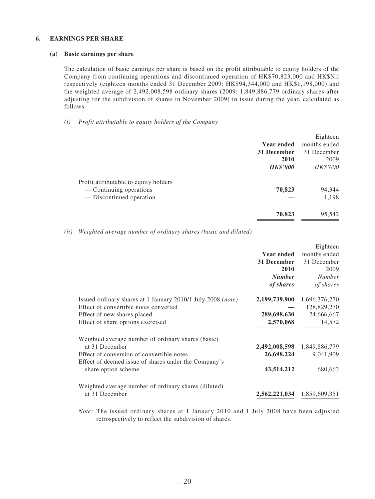### **6. EARNINGS PER SHARE**

### **(a) Basic earnings per share**

The calculation of basic earnings per share is based on the profit attributable to equity holders of the Company from continuing operations and discontinued operation of HK\$70,823,000 and HK\$Nil respectively (eighteen months ended 31 December 2009: HK\$94,344,000 and HK\$1,198,000) and the weighted average of 2,492,008,598 ordinary shares (2009: 1,849,886,779 ordinary shares after adjusting for the subdivision of shares in November 2009) in issue during the year, calculated as follows:

### *(i) Profit attributable to equity holders of the Company*

|                                       |                 | Eighteen     |
|---------------------------------------|-----------------|--------------|
|                                       | Year ended      | months ended |
|                                       | 31 December     | 31 December  |
|                                       | 2010            | 2009         |
|                                       | <b>HK\$'000</b> | HK\$'000     |
| Profit attributable to equity holders |                 |              |
| — Continuing operations               | 70,823          | 94,344       |
| — Discontinued operation              |                 | 1,198        |
|                                       | 70,823          | 95,542       |
|                                       |                 |              |

*(ii) Weighted average number of ordinary shares (basic and diluted)*

|                                                             |                   | Eighteen                    |
|-------------------------------------------------------------|-------------------|-----------------------------|
|                                                             | <b>Year ended</b> | months ended                |
|                                                             | 31 December       | 31 December                 |
|                                                             | 2010              | 2009                        |
|                                                             | <b>Number</b>     | <b>Number</b>               |
|                                                             | of shares         | of shares                   |
| Issued ordinary shares at 1 January 2010/1 July 2008 (note) | 2,199,739,900     | 1,696,376,270               |
| Effect of convertible notes converted                       |                   | 128,829,270                 |
| Effect of new shares placed                                 | 289,698,630       | 24,666,667                  |
| Effect of share options exercised                           | 2,570,068         | 14,572                      |
| Weighted average number of ordinary shares (basic)          |                   |                             |
| at 31 December                                              |                   | 2,492,008,598 1,849,886,779 |
| Effect of conversion of convertible notes                   | 26,698,224        | 9,041,909                   |
| Effect of deemed issue of shares under the Company's        |                   |                             |
| share option scheme                                         | 43,514,212        | 680,663                     |
| Weighted average number of ordinary shares (diluted)        |                   |                             |
| at 31 December                                              | 2,562,221,034     | 1,859,609,351               |

*Note:* The issued ordinary shares at 1 January 2010 and 1 July 2008 have been adjusted retrospectively to reflect the subdivision of shares.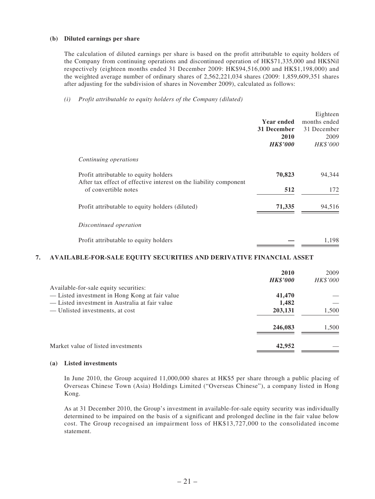#### **(b) Diluted earnings per share**

The calculation of diluted earnings per share is based on the profit attributable to equity holders of the Company from continuing operations and discontinued operation of HK\$71,335,000 and HK\$Nil respectively (eighteen months ended 31 December 2009: HK\$94,516,000 and HK\$1,198,000) and the weighted average number of ordinary shares of 2,562,221,034 shares (2009: 1,859,609,351 shares after adjusting for the subdivision of shares in November 2009), calculated as follows:

### *(i) Profit attributable to equity holders of the Company (diluted)*

|                                                                                                            |                   | Eighteen     |
|------------------------------------------------------------------------------------------------------------|-------------------|--------------|
|                                                                                                            | <b>Year ended</b> | months ended |
|                                                                                                            | 31 December       | 31 December  |
|                                                                                                            | 2010              | 2009         |
|                                                                                                            | <b>HK\$'000</b>   | HK\$'000     |
| Continuing operations                                                                                      |                   |              |
| Profit attributable to equity holders<br>After tax effect of effective interest on the liability component | 70,823            | 94,344       |
| of convertible notes                                                                                       | 512               | 172          |
| Profit attributable to equity holders (diluted)                                                            | 71,335            | 94,516       |
| Discontinued operation                                                                                     |                   |              |
| Profit attributable to equity holders                                                                      |                   | 1,198        |

### **7. AVAILABLE-FOR-SALE EQUITY SECURITIES AND DERIVATIVE FINANCIAL ASSET**

|                                                | 2010            | 2009     |
|------------------------------------------------|-----------------|----------|
|                                                | <b>HK\$'000</b> | HK\$'000 |
| Available-for-sale equity securities:          |                 |          |
| -Listed investment in Hong Kong at fair value  | 41,470          |          |
| — Listed investment in Australia at fair value | 1,482           |          |
| — Unlisted investments, at cost                | 203,131         | 1,500    |
|                                                | 246,083         | 1,500    |
| Market value of listed investments             | 42,952          |          |

### **(a) Listed investments**

In June 2010, the Group acquired 11,000,000 shares at HK\$5 per share through a public placing of Overseas Chinese Town (Asia) Holdings Limited ("Overseas Chinese"), a company listed in Hong Kong.

As at 31 December 2010, the Group's investment in available-for-sale equity security was individually determined to be impaired on the basis of a significant and prolonged decline in the fair value below cost. The Group recognised an impairment loss of HK\$13,727,000 to the consolidated income statement.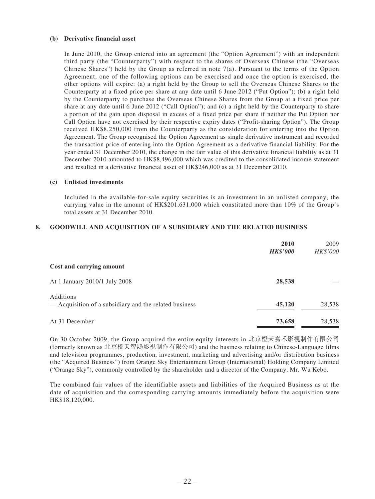#### **(b) Derivative financial asset**

In June 2010, the Group entered into an agreement (the "Option Agreement") with an independent third party (the "Counterparty") with respect to the shares of Overseas Chinese (the "Overseas Chinese Shares") held by the Group as referred in note  $7(a)$ . Pursuant to the terms of the Option Agreement, one of the following options can be exercised and once the option is exercised, the other options will expire: (a) a right held by the Group to sell the Overseas Chinese Shares to the Counterparty at a fixed price per share at any date until 6 June 2012 ("Put Option"); (b) a right held by the Counterparty to purchase the Overseas Chinese Shares from the Group at a fixed price per share at any date until 6 June 2012 ("Call Option"); and (c) a right held by the Counterparty to share a portion of the gain upon disposal in excess of a fixed price per share if neither the Put Option nor Call Option have not exercised by their respective expiry dates ("Profit-sharing Option"). The Group received HK\$8,250,000 from the Counterparty as the consideration for entering into the Option Agreement. The Group recognised the Option Agreement as single derivative instrument and recorded the transaction price of entering into the Option Agreement as a derivative financial liability. For the year ended 31 December 2010, the change in the fair value of this derivative financial liability as at 31 December 2010 amounted to HK\$8,496,000 which was credited to the consolidated income statement and resulted in a derivative financial asset of HK\$246,000 as at 31 December 2010.

#### **(c) Unlisted investments**

Included in the available-for-sale equity securities is an investment in an unlisted company, the carrying value in the amount of HK\$201,631,000 which constituted more than 10% of the Group's total assets at 31 December 2010.

### **8. GOODWILL AND ACQUISITION OF A SUBSIDIARY AND THE RELATED BUSINESS**

|                                                                            | 2010<br><b>HK\$'000</b> | 2009<br>HK\$'000 |
|----------------------------------------------------------------------------|-------------------------|------------------|
| Cost and carrying amount                                                   |                         |                  |
| At 1 January 2010/1 July 2008                                              | 28,538                  |                  |
| <b>Additions</b><br>— Acquisition of a subsidiary and the related business | 45,120                  | 28,538           |
| At 31 December                                                             | 73,658                  | 28,538           |

 On 30 October 2009, the Group acquired the entire equity interests in 北京橙天嘉禾影視制作有限公司 (formerly known as 北京橙天智鴻影視制作有限公司) and the business relating to Chinese-Language films and television programmes, production, investment, marketing and advertising and/or distribution business (the "Acquired Business") from Orange Sky Entertainment Group (International) Holding Company Limited ("Orange Sky"), commonly controlled by the shareholder and a director of the Company, Mr. Wu Kebo.

 The combined fair values of the identifiable assets and liabilities of the Acquired Business as at the date of acquisition and the corresponding carrying amounts immediately before the acquisition were HK\$18,120,000.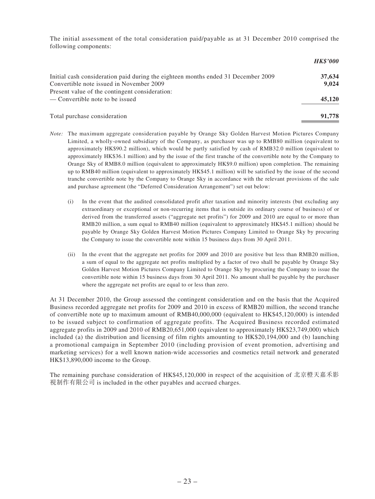The initial assessment of the total consideration paid/payable as at 31 December 2010 comprised the following components:

*HK\$'000*

|                                                                                   | HKY VVV |
|-----------------------------------------------------------------------------------|---------|
| Initial cash consideration paid during the eighteen months ended 31 December 2009 | 37,634  |
| Convertible note issued in November 2009                                          | 9.024   |
| Present value of the contingent consideration:<br>— Convertible note to be issued | 45,120  |
| Total purchase consideration                                                      | 91,778  |

- *Note:* The maximum aggregate consideration payable by Orange Sky Golden Harvest Motion Pictures Company Limited, a wholly-owned subsidiary of the Company, as purchaser was up to RMB80 million (equivalent to approximately HK\$90.2 million), which would be partly satisfied by cash of RMB32.0 million (equivalent to approximately HK\$36.1 million) and by the issue of the first tranche of the convertible note by the Company to Orange Sky of RMB8.0 million (equivalent to approximately HK\$9.0 million) upon completion. The remaining up to RMB40 million (equivalent to approximately HK\$45.1 million) will be satisfied by the issue of the second tranche convertible note by the Company to Orange Sky in accordance with the relevant provisions of the sale and purchase agreement (the "Deferred Consideration Arrangement") set out below:
	- (i) In the event that the audited consolidated profit after taxation and minority interests (but excluding any extraordinary or exceptional or non-recurring items that is outside its ordinary course of business) of or derived from the transferred assets ("aggregate net profits") for 2009 and 2010 are equal to or more than RMB20 million, a sum equal to RMB40 million (equivalent to approximately HK\$45.1 million) should be payable by Orange Sky Golden Harvest Motion Pictures Company Limited to Orange Sky by procuring the Company to issue the convertible note within 15 business days from 30 April 2011.
	- (ii) In the event that the aggregate net profits for 2009 and 2010 are positive but less than RMB20 million, a sum of equal to the aggregate net profits multiplied by a factor of two shall be payable by Orange Sky Golden Harvest Motion Pictures Company Limited to Orange Sky by procuring the Company to issue the convertible note within 15 business days from 30 April 2011. No amount shall be payable by the purchaser where the aggregate net profits are equal to or less than zero.

At 31 December 2010, the Group assessed the contingent consideration and on the basis that the Acquired Business recorded aggregate net profits for 2009 and 2010 in excess of RMB20 million, the second tranche of convertible note up to maximum amount of RMB40,000,000 (equivalent to HK\$45,120,000) is intended to be issued subject to confirmation of aggregate profits. The Acquired Business recorded estimated aggregate profits in 2009 and 2010 of RMB20,651,000 (equivalent to approximately HK\$23,749,000) which included (a) the distribution and licensing of film rights amounting to HK\$20,194,000 and (b) launching a promotional campaign in September 2010 (including provision of event promotion, advertising and marketing services) for a well known nation-wide accessories and cosmetics retail network and generated HK\$13,890,000 income to the Group.

 The remaining purchase consideration of HK\$45,120,000 in respect of the acquisition of 北京橙天嘉禾影 視制作有限公司 is included in the other payables and accrued charges.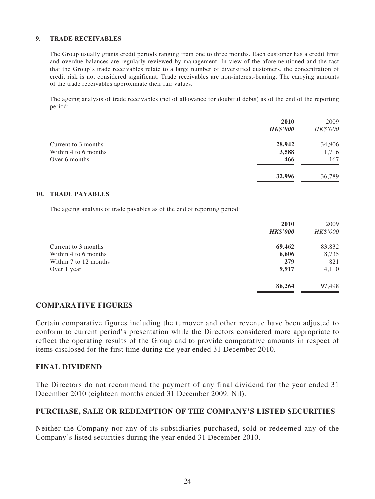### **9. TRADE RECEIVABLES**

The Group usually grants credit periods ranging from one to three months. Each customer has a credit limit and overdue balances are regularly reviewed by management. In view of the aforementioned and the fact that the Group's trade receivables relate to a large number of diversified customers, the concentration of credit risk is not considered significant. Trade receivables are non-interest-bearing. The carrying amounts of the trade receivables approximate their fair values.

The ageing analysis of trade receivables (net of allowance for doubtful debts) as of the end of the reporting period:

|                      | 2010            | 2009     |
|----------------------|-----------------|----------|
|                      | <b>HK\$'000</b> | HK\$'000 |
| Current to 3 months  | 28,942          | 34,906   |
| Within 4 to 6 months | 3,588           | 1,716    |
| Over 6 months        | 466             | 167      |
|                      | 32,996          | 36,789   |

### **10. TRADE PAYABLES**

The ageing analysis of trade payables as of the end of reporting period:

|                       | 2010<br><b>HK\$'000</b> | 2009<br>HK\$'000 |
|-----------------------|-------------------------|------------------|
| Current to 3 months   | 69,462                  | 83,832           |
| Within 4 to 6 months  | 6,606                   | 8,735            |
| Within 7 to 12 months | 279                     | 821              |
| Over 1 year           | 9,917                   | 4,110            |
|                       | 86,264                  | 97,498           |

## **COMPARATIVE FIGURES**

Certain comparative figures including the turnover and other revenue have been adjusted to conform to current period's presentation while the Directors considered more appropriate to reflect the operating results of the Group and to provide comparative amounts in respect of items disclosed for the first time during the year ended 31 December 2010.

### **FINAL DIVIDEND**

The Directors do not recommend the payment of any final dividend for the year ended 31 December 2010 (eighteen months ended 31 December 2009: Nil).

## **PURCHASE, SALE OR REDEMPTION OF THE COMPANY'S LISTED SECURITIES**

Neither the Company nor any of its subsidiaries purchased, sold or redeemed any of the Company's listed securities during the year ended 31 December 2010.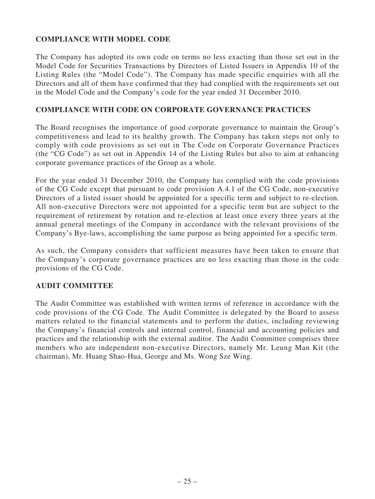# **COMPLIANCE WITH MODEL CODE**

The Company has adopted its own code on terms no less exacting than those set out in the Model Code for Securities Transactions by Directors of Listed Issuers in Appendix 10 of the Listing Rules (the "Model Code"). The Company has made specific enquiries with all the Directors and all of them have confirmed that they had complied with the requirements set out in the Model Code and the Company's code for the year ended 31 December 2010.

## **COMPLIANCE WITH CODE ON CORPORATE GOVERNANCE PRACTICES**

The Board recognises the importance of good corporate governance to maintain the Group's competitiveness and lead to its healthy growth. The Company has taken steps not only to comply with code provisions as set out in The Code on Corporate Governance Practices (the "CG Code") as set out in Appendix 14 of the Listing Rules but also to aim at enhancing corporate governance practices of the Group as a whole.

For the year ended 31 December 2010, the Company has complied with the code provisions of the CG Code except that pursuant to code provision A.4.1 of the CG Code, non-executive Directors of a listed issuer should be appointed for a specific term and subject to re-election. All non-executive Directors were not appointed for a specific term but are subject to the requirement of retirement by rotation and re-election at least once every three years at the annual general meetings of the Company in accordance with the relevant provisions of the Company's Bye-laws, accomplishing the same purpose as being appointed for a specific term.

As such, the Company considers that sufficient measures have been taken to ensure that the Company's corporate governance practices are no less exacting than those in the code provisions of the CG Code.

## **AUDIT COMMITTEE**

The Audit Committee was established with written terms of reference in accordance with the code provisions of the CG Code. The Audit Committee is delegated by the Board to assess matters related to the financial statements and to perform the duties, including reviewing the Company's financial controls and internal control, financial and accounting policies and practices and the relationship with the external auditor. The Audit Committee comprises three members who are independent non-executive Directors, namely Mr. Leung Man Kit (the chairman), Mr. Huang Shao-Hua, George and Ms. Wong Sze Wing.